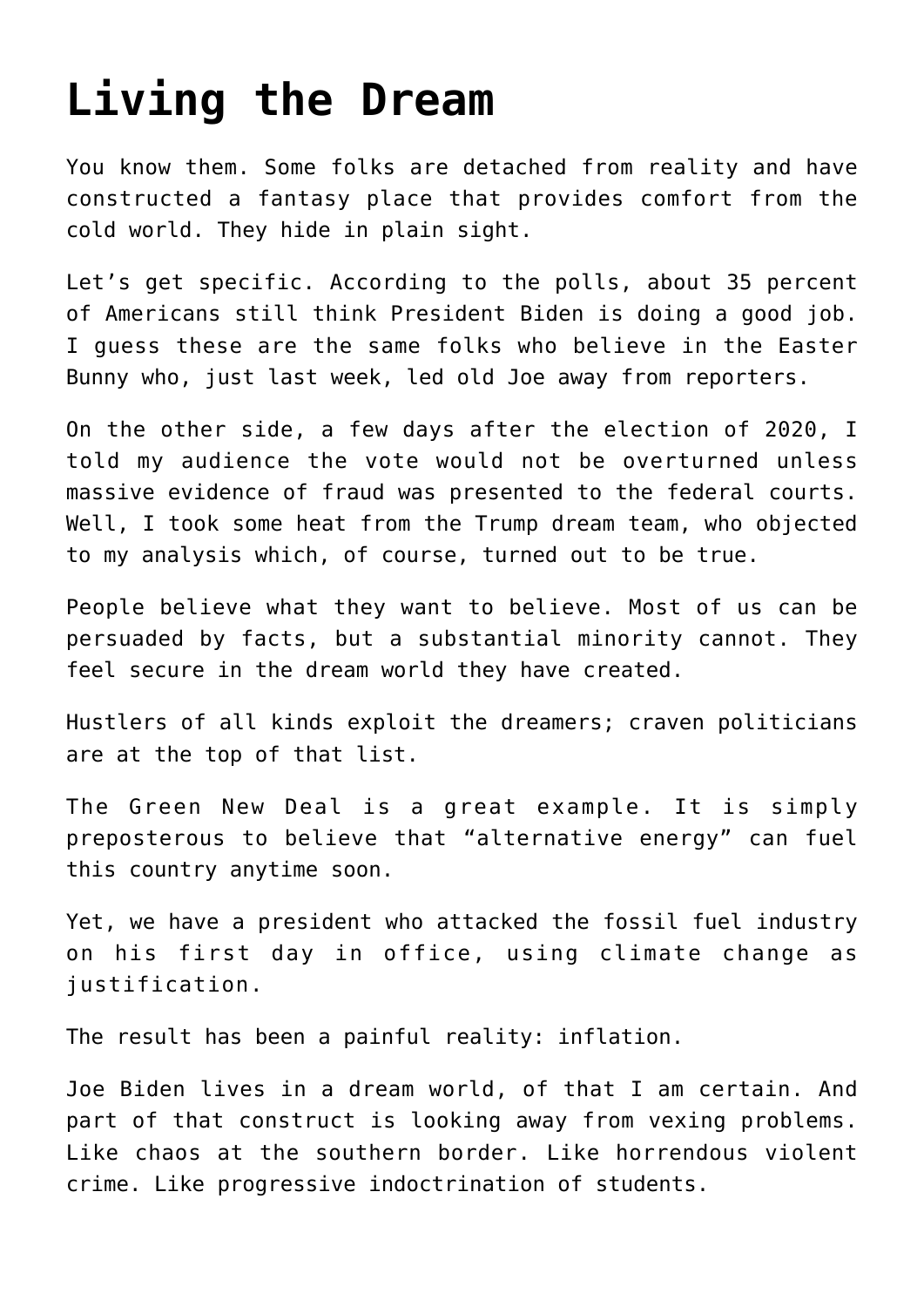## **[Living the Dream](https://bernardgoldberg.com/living-the-dream/)**

You know them. Some folks are detached from reality and have constructed a fantasy place that provides comfort from the cold world. They hide in plain sight.

Let's get specific. According to the polls, about 35 percent of Americans still think President Biden is doing a good job. I guess these are the same folks who believe in the Easter Bunny who, just last week, led old Joe away from reporters.

On the other side, a few days after the election of 2020, I told my audience the vote would not be overturned unless massive evidence of fraud was presented to the federal courts. Well, I took some heat from the Trump dream team, who objected to my analysis which, of course, turned out to be true.

People believe what they want to believe. Most of us can be persuaded by facts, but a substantial minority cannot. They feel secure in the dream world they have created.

Hustlers of all kinds exploit the dreamers; craven politicians are at the top of that list.

The Green New Deal is a great example. It is simply preposterous to believe that "alternative energy" can fuel this country anytime soon.

Yet, we have a president who attacked the fossil fuel industry on his first day in office, using climate change as justification.

The result has been a painful reality: inflation.

Joe Biden lives in a dream world, of that I am certain. And part of that construct is looking away from vexing problems. Like chaos at the southern border. Like horrendous violent crime. Like progressive indoctrination of students.